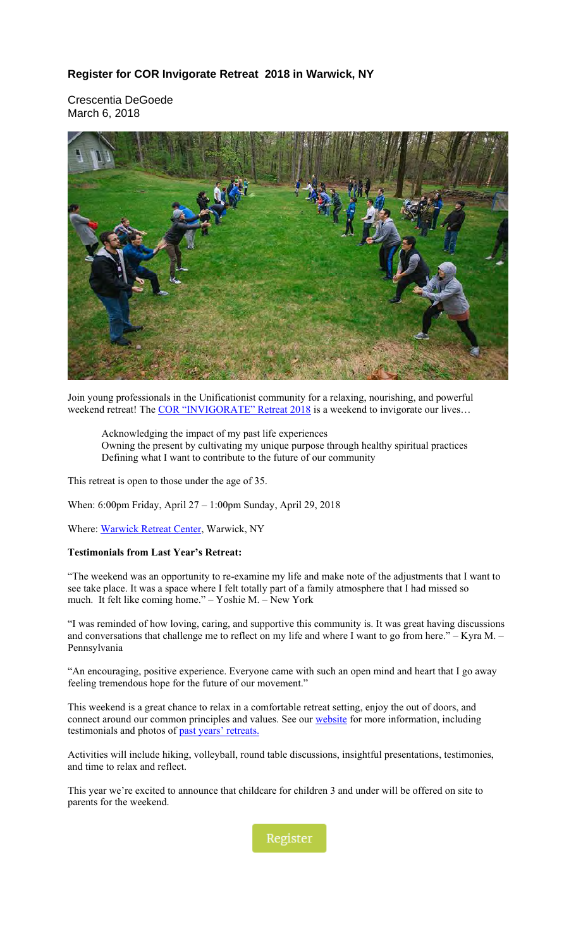## **Register for COR Invigorate Retreat 2018 in Warwick, NY**

Crescentia DeGoede March 6, 2018



Join young professionals in the Unificationist community for a relaxing, nourishing, and powerful weekend retreat! The [COR "INVIGORATE" Retreat 2018](#page-2-0) is a weekend to invigorate our lives...

Acknowledging the impact of my past life experiences Owning the present by cultivating my unique purpose through healthy spiritual practices Defining what I want to contribute to the future of our community

This retreat is open to those under the age of 35.

When: 6:00pm Friday, April 27 – 1:00pm Sunday, April 29, 2018

Where: Warwick Retreat Center, Warwick, NY

#### **Testimonials from Last Year's Retreat:**

"The weekend was an opportunity to re-examine my life and make note of the adjustments that I want to see take place. It was a space where I felt totally part of a family atmosphere that I had missed so much. It felt like coming home." – Yoshie M. – New York

"I was reminded of how loving, caring, and supportive this community is. It was great having discussions and conversations that challenge me to reflect on my life and where I want to go from here." – Kyra M. – Pennsylvania

"An encouraging, positive experience. Everyone came with such an open mind and heart that I go away feeling tremendous hope for the future of our movement."

This weekend is a great chance to relax in a comfortable retreat setting, enjoy the out of doors, and connect around our common principles and values. See our **website** for more information, including testimonials and photos of past years' retreats.

Activities will include hiking, volleyball, round table discussions, insightful presentations, testimonies, and time to relax and reflect.

This year we're excited to announce that childcare for children 3 and under will be offered on site to parents for the weekend.

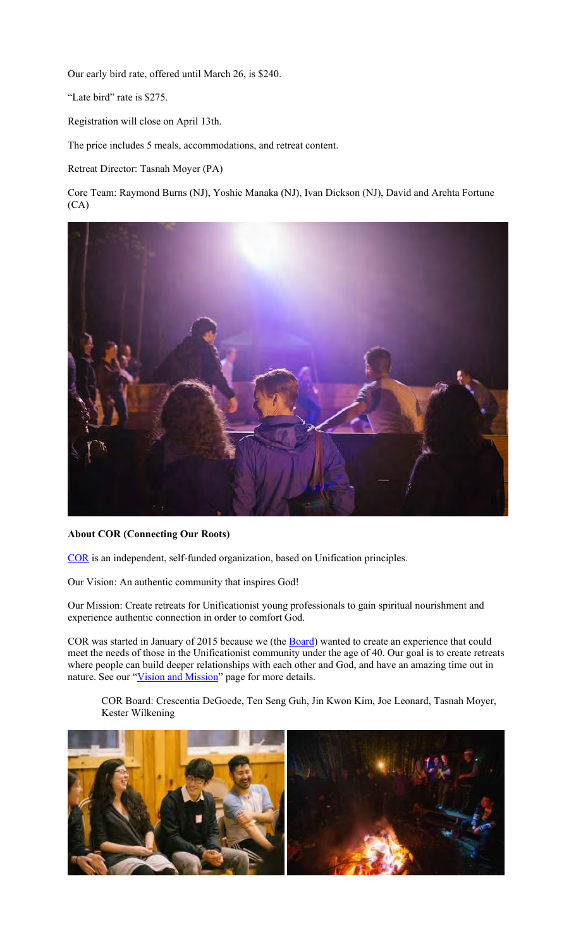Our early bird rate, offered until March 26, is \$240.

"Late bird" rate is \$275.

Registration will close on April 13th.

The price includes 5 meals, accommodations, and retreat content.

Retreat Director: Tasnah Moyer (PA)

Core Team: Raymond Burns (NJ), Yoshie Manaka (NJ), Ivan Dickson (NJ), David and Arehta Fortune (CA)



#### **About COR (Connecting Our Roots)**

COR is an independent, self-funded organization, based on Unification principles.

Our Vision: An authentic community that inspires God!

Our Mission: Create retreats for Unificationist young professionals to gain spiritual nourishment and experience authentic connection in order to comfort God.

COR was started in January of 2015 because we (the **Board**) wanted to create an experience that could meet the needs of those in the Unificationist community under the age of 40. Our goal is to create retreats where people can build deeper relationships with each other and God, and have an amazing time out in nature. See our "Vision and Mission" page for more details.

COR Board: Crescentia DeGoede, Ten Seng Guh, Jin Kwon Kim, Joe Leonard, Tasnah Moyer, Kester Wilkening

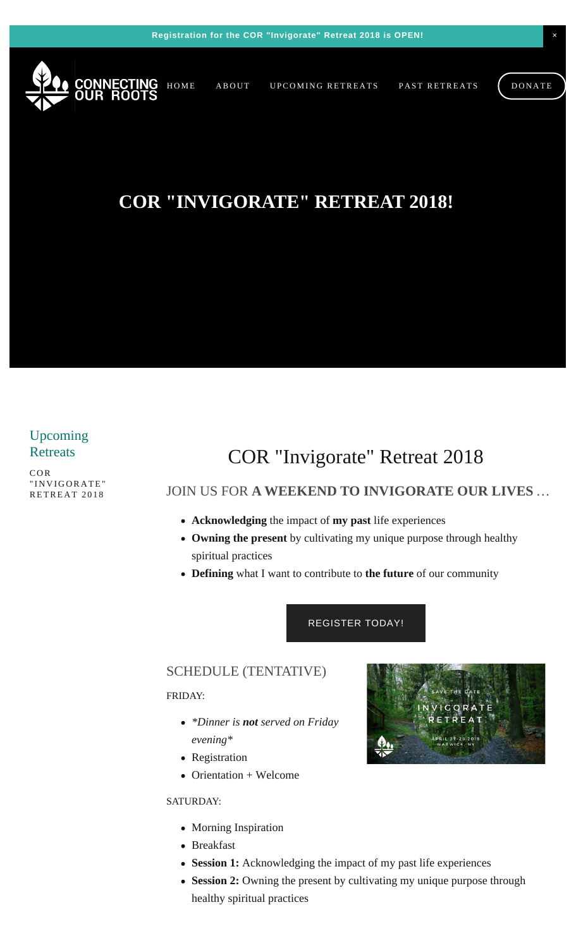<span id="page-2-0"></span>

# **COR "INVIGORATE" RETREAT 2018!**

# Upcoming **Retreats**

[COR](#page-2-0) ["INVIGORATE"](#page-2-0) [RETREAT 2018](#page-2-0)

# COR "Invigorate" Retreat 2018

# JOIN US FOR **A WEEKEND TO INVIGORATE OUR LIVES** …

- **Acknowledging** the impact of **my past** life experiences
- **Owning the present** by cultivating my unique purpose through healthy spiritual practices
- **Defining** what I want to contribute to **the future** of our community

## [REGISTER TODAY!](#page-5-0)

## SCHEDULE (TENTATIVE)

### FRIDAY:

- *\*Dinner is not served on Friday evening\**
- Registration
- $\bullet$  Orientation + Welcome

### SATURDAY:

- Morning Inspiration
- Breakfast
- **Session 1:** Acknowledging the impact of my past life experiences
- **Session 2:** Owning the present by cultivating my unique purpose through healthy spiritual practices

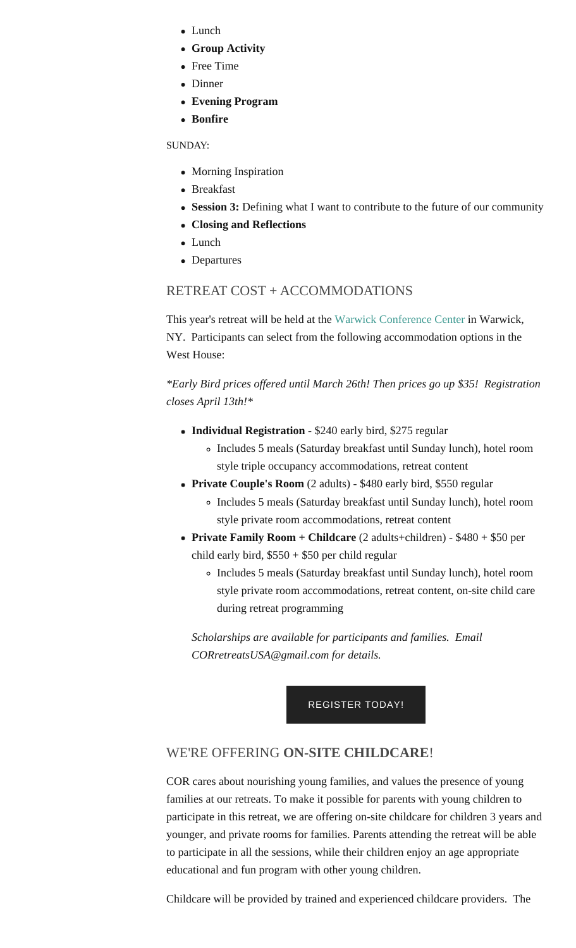- Lunch
- **Group Activity**
- Free Time
- Dinner
- **Evening Program**
- **Bonfire**

SUNDAY:

- Morning Inspiration
- Breakfast
- **Session 3:** Defining what I want to contribute to the future of our community
- **Closing and Reflections**
- Lunch
- Departures

# RETREAT COST + ACCOMMODATIONS

This year's retreat will be held at the Warwick Conference Center in Warwick, NY. Participants can select from the following accommodation options in the West House:

*\*Early Bird prices offered until March 26th! Then prices go up \$35! Registration closes April 13th!\**

- **Individual Registration** \$240 early bird, \$275 regular
	- Includes 5 meals (Saturday breakfast until Sunday lunch), hotel room style triple occupancy accommodations, retreat content
- **Private Couple's Room** (2 adults) \$480 early bird, \$550 regular
	- Includes 5 meals (Saturday breakfast until Sunday lunch), hotel room style private room accommodations, retreat content
- **Private Family Room + Childcare** (2 adults+children) \$480 + \$50 per child early bird,  $$550 + $50$  per child regular
	- Includes 5 meals (Saturday breakfast until Sunday lunch), hotel room style private room accommodations, retreat content, on-site child care during retreat programming

*Scholarships are available for participants and families. Email CORretreatsUSA@gmail.com for details.*

## [REGISTER TODAY!](#page-5-0)

## WE'RE OFFERING **ON-SITE CHILDCARE**!

COR cares about nourishing young families, and values the presence of young families at our retreats. To make it possible for parents with young children to participate in this retreat, we are offering on-site childcare for children 3 years and younger, and private rooms for families. Parents attending the retreat will be able to participate in all the sessions, while their children enjoy an age appropriate educational and fun program with other young children.

Childcare will be provided by trained and experienced childcare providers. The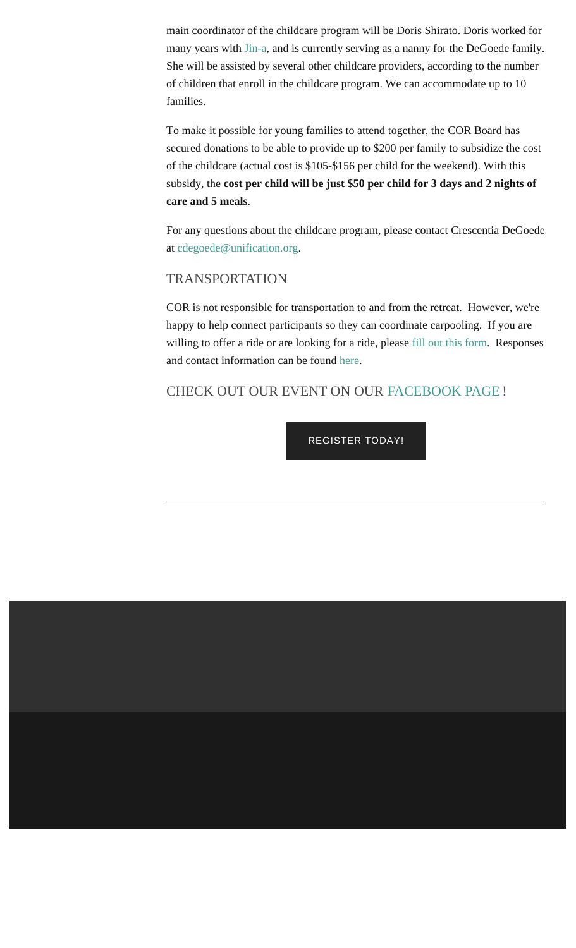main coordinator of the childcare program will be Doris Shirato. Doris worked for many years with Jin-a, and is currently serving as a nanny for the DeGoede family. She will be assisted by several other childcare providers, according to the number of children that enroll in the childcare program. We can accommodate up to 10 families.

To make it possible for young families to attend together, the COR Board has secured donations to be able to provide up to \$200 per family to subsidize the cost of the childcare (actual cost is \$105-\$156 per child for the weekend). With this subsidy, the **cost per child will be just \$50 per child for 3 days and 2 nights of care and 5 meals**.

For any questions about the childcare program, please contact Crescentia DeGoede at cdegoede@unification.org.

## TRANSPORTATION

COR is not responsible for transportation to and from the retreat. However, we're happy to help connect participants so they can coordinate carpooling. If you are willing to offer a ride or are looking for a ride, please fill out this form. Responses and contact information can be found here.

# CHECK OUT OUR EVENT ON OUR FACEBOOK PAGE !

[REGISTER TODAY!](#page-5-0)